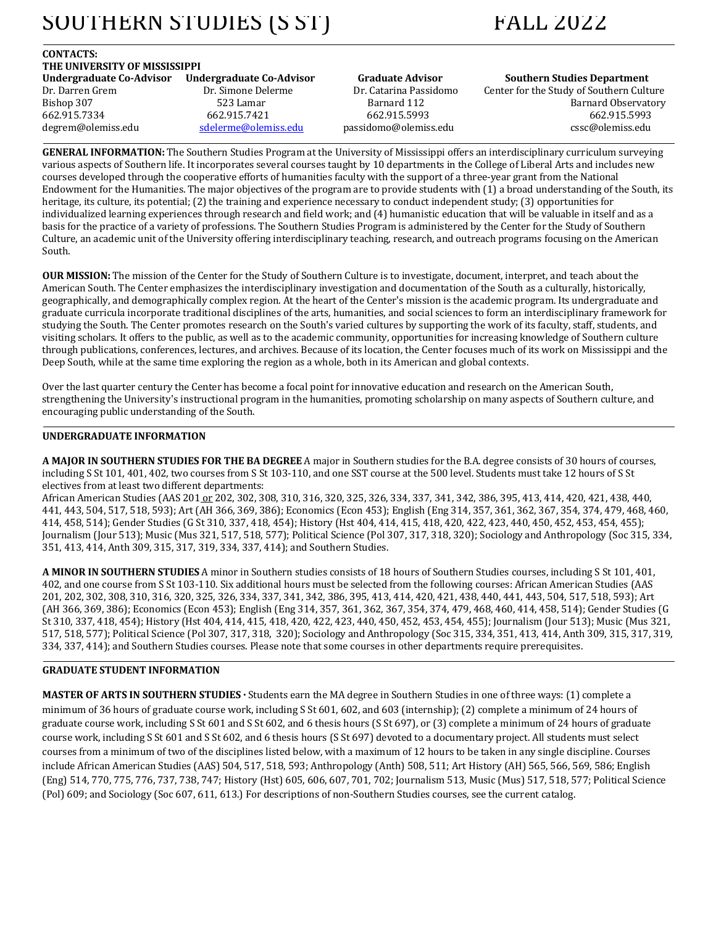# SOUTHERN STUDIES (S ST) FALL 2022

### **CONTACTS:**  THE UNIVERSITY OF MISSISSIPPI<br>Undergraduate Co-Advisor Undergraduate Co-Advisor Undergraduate Co-Advisor Undergraduate Co-Advisor Graduate Advisor Southern Studies Department

Dr. Darren Grem Dr. Simone Delerme Dr. Catarina Passidomo Center for the Study of Southern Culture Bishop 307 523 Lamar Barnard 112 Barnard Observatory 662.915.7334 662.915.7421 662.915.5993 662.915.5993 degrem@olemiss.edu <u>sdelerme@olemiss.edu</u> passidomo@olemiss.edu cssc@olemiss.edu

**GENERAL INFORMATION:** The Southern Studies Program at the University of Mississippi offers an interdisciplinary curriculum surveying various aspects of Southern life. It incorporates several courses taught by 10 departments in the College of Liberal Arts and includes new courses developed through the cooperative efforts of humanities faculty with the support of a three-year grant from the National Endowment for the Humanities. The major objectives of the program are to provide students with (1) a broad understanding of the South, its heritage, its culture, its potential; (2) the training and experience necessary to conduct independent study; (3) opportunities for individualized learning experiences through research and field work; and (4) humanistic education that will be valuable in itself and as a basis for the practice of a variety of professions. The Southern Studies Program is administered by the Center for the Study of Southern Culture, an academic unit of the University offering interdisciplinary teaching, research, and outreach programs focusing on the American South. 

**OUR MISSION:** The mission of the Center for the Study of Southern Culture is to investigate, document, interpret, and teach about the American South. The Center emphasizes the interdisciplinary investigation and documentation of the South as a culturally, historically, geographically, and demographically complex region. At the heart of the Center's mission is the academic program. Its undergraduate and graduate curricula incorporate traditional disciplines of the arts, humanities, and social sciences to form an interdisciplinary framework for studying the South. The Center promotes research on the South's varied cultures by supporting the work of its faculty, staff, students, and visiting scholars. It offers to the public, as well as to the academic community, opportunities for increasing knowledge of Southern culture through publications, conferences, lectures, and archives. Because of its location, the Center focuses much of its work on Mississippi and the Deep South, while at the same time exploring the region as a whole, both in its American and global contexts.

Over the last quarter century the Center has become a focal point for innovative education and research on the American South, strengthening the University's instructional program in the humanities, promoting scholarship on many aspects of Southern culture, and encouraging public understanding of the South.

## **UNDERGRADUATE INFORMATION**

A MAJOR IN SOUTHERN STUDIES FOR THE BA DEGREE A major in Southern studies for the B.A. degree consists of 30 hours of courses, including S St 101, 401, 402, two courses from S St 103-110, and one SST course at the 500 level. Students must take 12 hours of S St electives from at least two different departments:

African American Studies (AAS 201 or 202, 302, 308, 310, 316, 320, 325, 326, 334, 337, 341, 342, 386, 395, 413, 414, 420, 421, 438, 440, 441, 443, 504, 517, 518, 593); Art (AH 366, 369, 386); Economics (Econ 453); English (Eng 314, 357, 361, 362, 367, 354, 374, 479, 468, 460, 414, 458, 514); Gender Studies (G St 310, 337, 418, 454); History (Hst 404, 414, 415, 418, 420, 422, 423, 440, 450, 452, 453, 454, 455); Journalism (Jour 513); Music (Mus 321, 517, 518, 577); Political Science (Pol 307, 317, 318, 320); Sociology and Anthropology (Soc 315, 334, 351, 413, 414, Anth 309, 315, 317, 319, 334, 337, 414); and Southern Studies.

A MINOR IN SOUTHERN STUDIES A minor in Southern studies consists of 18 hours of Southern Studies courses, including S St 101, 401, 402, and one course from S St 103-110. Six additional hours must be selected from the following courses: African American Studies (AAS 201, 202, 302, 308, 310, 316, 320, 325, 326, 334, 337, 341, 342, 386, 395, 413, 414, 420, 421, 438, 440, 441, 443, 504, 517, 518, 593); Art (AH 366, 369, 386); Economics (Econ 453); English (Eng 314, 357, 361, 362, 367, 354, 374, 479, 468, 460, 414, 458, 514); Gender Studies (G St 310, 337, 418, 454); History (Hst 404, 414, 415, 418, 420, 422, 423, 440, 450, 452, 453, 454, 455); Journalism (Jour 513); Music (Mus 321, 517, 518, 577); Political Science (Pol 307, 317, 318, 320); Sociology and Anthropology (Soc 315, 334, 351, 413, 414, Anth 309, 315, 317, 319, 334, 337, 414); and Southern Studies courses. Please note that some courses in other departments require prerequisites.

## **GRADUATE STUDENT INFORMATION**

MASTER OF ARTS IN SOUTHERN STUDIES · Students earn the MA degree in Southern Studies in one of three ways: (1) complete a minimum of 36 hours of graduate course work, including  $S St 601, 602$ , and  $603$  (internship); (2) complete a minimum of 24 hours of graduate course work, including S St 601 and S St 602, and 6 thesis hours (S St 697), or (3) complete a minimum of 24 hours of graduate course work, including S St 601 and S St 602, and 6 thesis hours (S St 697) devoted to a documentary project. All students must select courses from a minimum of two of the disciplines listed below, with a maximum of 12 hours to be taken in any single discipline. Courses include African American Studies (AAS) 504, 517, 518, 593; Anthropology (Anth) 508, 511; Art History (AH) 565, 566, 569, 586; English (Eng) 514, 770, 775, 776, 737, 738, 747; History (Hst) 605, 606, 607, 701, 702; Journalism 513, Music (Mus) 517, 518, 577; Political Science (Pol) 609; and Sociology (Soc 607, 611, 613.) For descriptions of non-Southern Studies courses, see the current catalog.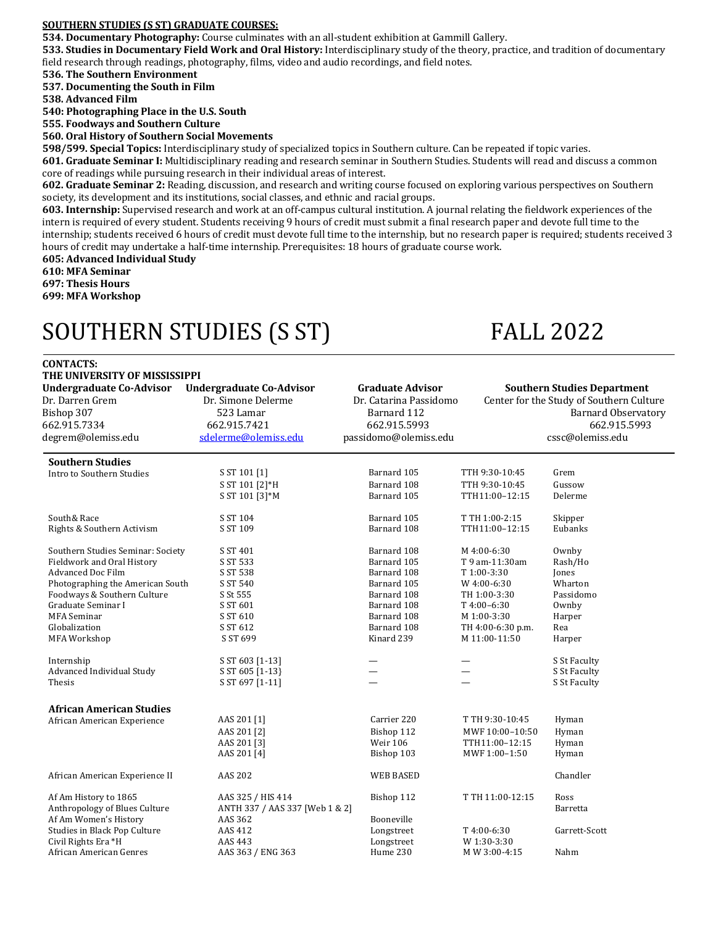## **SOUTHERN STUDIES (S ST) GRADUATE COURSES:**

**534. Documentary Photography:** Course culminates with an all-student exhibition at Gammill Gallery.

**533. Studies in Documentary Field Work and Oral History:** Interdisciplinary study of the theory, practice, and tradition of documentary field research through readings, photography, films, video and audio recordings, and field notes.

**536.** The Southern Environment

**537. Documenting the South in Film**

**538. Advanced Film**

**540: Photographing Place in the U.S. South** 

**555. Foodways and Southern Culture** 

**560. Oral History of Southern Social Movements**

**598/599. Special Topics:** Interdisciplinary study of specialized topics in Southern culture. Can be repeated if topic varies.

601. Graduate Seminar I: Multidisciplinary reading and research seminar in Southern Studies. Students will read and discuss a common core of readings while pursuing research in their individual areas of interest.

**602. Graduate Seminar 2:** Reading, discussion, and research and writing course focused on exploring various perspectives on Southern society, its development and its institutions, social classes, and ethnic and racial groups.

**603. Internship:** Supervised research and work at an off-campus cultural institution. A journal relating the fieldwork experiences of the intern is required of every student. Students receiving 9 hours of credit must submit a final research paper and devote full time to the internship; students received 6 hours of credit must devote full time to the internship, but no research paper is required; students received 3 hours of credit may undertake a half-time internship. Prerequisites: 18 hours of graduate course work.

**605: Advanced Individual Study** 

**610: MFA Seminar**

**CONTACTS:** 

**697: Thesis Hours** 

**699: MFA Workshop**

# SOUTHERN STUDIES (S ST) FALL 2022

| THE UNIVERSITY OF MISSISSIPPI     |                                 |                         |                   |                                          |  |  |  |
|-----------------------------------|---------------------------------|-------------------------|-------------------|------------------------------------------|--|--|--|
| <b>Undergraduate Co-Advisor</b>   | <b>Undergraduate Co-Advisor</b> | <b>Graduate Advisor</b> |                   | <b>Southern Studies Department</b>       |  |  |  |
| Dr. Darren Grem                   | Dr. Simone Delerme              | Dr. Catarina Passidomo  |                   | Center for the Study of Southern Culture |  |  |  |
| Bishop 307                        | 523 Lamar                       | Barnard 112             |                   | <b>Barnard Observatory</b>               |  |  |  |
| 662.915.7334                      | 662.915.7421                    | 662.915.5993            |                   | 662.915.5993                             |  |  |  |
| degrem@olemiss.edu                | sdelerme@olemiss.edu            | passidomo@olemiss.edu   |                   | cssc@olemiss.edu                         |  |  |  |
|                                   |                                 |                         |                   |                                          |  |  |  |
| <b>Southern Studies</b>           |                                 |                         |                   |                                          |  |  |  |
| Intro to Southern Studies         | S ST 101 [1]                    | Barnard 105             | TTH 9:30-10:45    | Grem                                     |  |  |  |
|                                   | S ST 101 [2]*H                  | Barnard 108             | TTH 9:30-10:45    | Gussow                                   |  |  |  |
|                                   | S ST 101 [3]*M                  | Barnard 105             | TTH11:00-12:15    | Delerme                                  |  |  |  |
| South& Race                       | S ST 104                        | Barnard 105             | T TH 1:00-2:15    | Skipper                                  |  |  |  |
| Rights & Southern Activism        | S ST 109                        | Barnard 108             | TTH11:00-12:15    | Eubanks                                  |  |  |  |
|                                   |                                 |                         |                   |                                          |  |  |  |
| Southern Studies Seminar: Society | S ST 401                        | Barnard 108             | M 4:00-6:30       | Ownby                                    |  |  |  |
| Fieldwork and Oral History        | S ST 533                        | Barnard 105             | T 9 am-11:30am    | Rash/Ho                                  |  |  |  |
| <b>Advanced Doc Film</b>          | S ST 538                        | Barnard 108             | T 1:00-3:30       | Jones                                    |  |  |  |
| Photographing the American South  | S ST 540                        | Barnard 105             | W 4:00-6:30       | Wharton                                  |  |  |  |
| Foodways & Southern Culture       | S St 555                        | Barnard 108             | TH 1:00-3:30      | Passidomo                                |  |  |  |
| Graduate Seminar I                | S ST 601                        | Barnard 108             | T4:00-6:30        | Ownby                                    |  |  |  |
| <b>MFA</b> Seminar                | S ST 610                        | Barnard 108             | M 1:00-3:30       | Harper                                   |  |  |  |
| Globalization                     | S ST 612                        | Barnard 108             | TH 4:00-6:30 p.m. | Rea                                      |  |  |  |
| MFA Workshop                      | S ST 699                        | Kinard 239              | M 11:00-11:50     | Harper                                   |  |  |  |
| Internship                        | S ST 603 [1-13]                 |                         |                   | S St Faculty                             |  |  |  |
| Advanced Individual Study         | S ST 605 [1-13]                 |                         |                   | S St Faculty                             |  |  |  |
| Thesis                            | S ST 697 [1-11]                 |                         |                   | S St Faculty                             |  |  |  |
|                                   |                                 |                         |                   |                                          |  |  |  |
| <b>African American Studies</b>   |                                 |                         |                   |                                          |  |  |  |
| African American Experience       | AAS 201 [1]                     | Carrier 220             | T TH 9:30-10:45   | Hyman                                    |  |  |  |
|                                   | AAS 201 [2]                     | Bishop 112              | MWF 10:00-10:50   | Hyman                                    |  |  |  |
|                                   | AAS 201 [3]                     | <b>Weir 106</b>         | TTH11:00-12:15    | Hyman                                    |  |  |  |
|                                   | AAS 201 [4]                     | Bishop 103              | MWF 1:00-1:50     | Hyman                                    |  |  |  |
| African American Experience II    | <b>AAS 202</b>                  | <b>WEB BASED</b>        |                   | Chandler                                 |  |  |  |
| Af Am History to 1865             | AAS 325 / HIS 414               | Bishop 112              | T TH 11:00-12:15  | Ross                                     |  |  |  |
| Anthropology of Blues Culture     | ANTH 337 / AAS 337 [Web 1 & 2]  |                         |                   | Barretta                                 |  |  |  |
| Af Am Women's History             | AAS 362                         | Booneville              |                   |                                          |  |  |  |
| Studies in Black Pop Culture      | AAS 412                         | Longstreet              | T4:00-6:30        | Garrett-Scott                            |  |  |  |
| Civil Rights Era *H               | AAS 443                         | Longstreet              | W 1:30-3:30       |                                          |  |  |  |
| African American Genres           | AAS 363 / ENG 363               | Hume 230                | M W 3:00-4:15     | Nahm                                     |  |  |  |
|                                   |                                 |                         |                   |                                          |  |  |  |
|                                   |                                 |                         |                   |                                          |  |  |  |